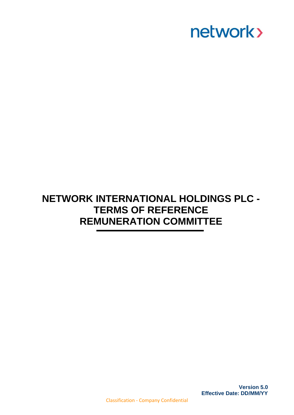

### **NETWORK INTERNATIONAL HOLDINGS PLC - TERMS OF REFERENCE REMUNERATION COMMITTEE**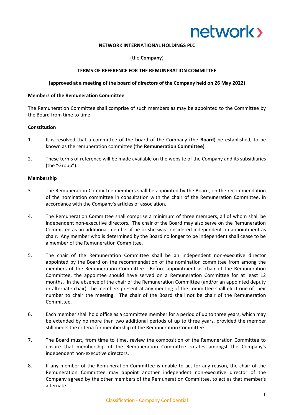

#### **NETWORK INTERNATIONAL HOLDINGS PLC**

(the **Company**)

#### **TERMS OF REFERENCE FOR THE REMUNERATION COMMITTEE**

#### **(approved at a meeting of the board of directors of the Company held on 26 May 2022)**

#### **Members of the Remuneration Committee**

The Remuneration Committee shall comprise of such members as may be appointed to the Committee by the Board from time to time.

#### **Constitution**

- 1. It is resolved that a committee of the board of the Company (the **Board**) be established, to be known as the remuneration committee (the **Remuneration Committee**).
- 2. These terms of reference will be made available on the website of the Company and its subsidiaries (the "Group").

#### **Membership**

- 3. The Remuneration Committee members shall be appointed by the Board, on the recommendation of the nomination committee in consultation with the chair of the Remuneration Committee, in accordance with the Company's articles of association.
- 4. The Remuneration Committee shall comprise a minimum of three members, all of whom shall be independent non-executive directors. The chair of the Board may also serve on the Remuneration Committee as an additional member if he or she was considered independent on appointment as chair. Any member who is determined by the Board no longer to be independent shall cease to be a member of the Remuneration Committee.
- 5. The chair of the Remuneration Committee shall be an independent non-executive director appointed by the Board on the recommendation of the nomination committee from among the members of the Remuneration Committee. Before appointment as chair of the Remuneration Committee, the appointee should have served on a Remuneration Committee for at least 12 months. In the absence of the chair of the Remuneration Committee (and/or an appointed deputy or alternate chair), the members present at any meeting of the committee shall elect one of their number to chair the meeting. The chair of the Board shall not be chair of the Remuneration Committee.
- 6. Each member shall hold office as a committee member for a period of up to three years, which may be extended by no more than two additional periods of up to three years, provided the member still meets the criteria for membership of the Remuneration Committee.
- 7. The Board must, from time to time, review the composition of the Remuneration Committee to ensure that membership of the Remuneration Committee rotates amongst the Company's independent non-executive directors.
- 8. If any member of the Remuneration Committee is unable to act for any reason, the chair of the Remuneration Committee may appoint another independent non-executive director of the Company agreed by the other members of the Remuneration Committee, to act as that member's alternate.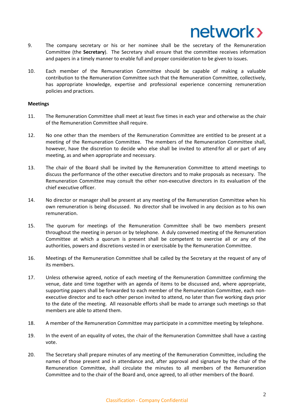- 9. The company secretary or his or her nominee shall be the secretary of the Remuneration Committee (the **Secretary**). The Secretary shall ensure that the committee receives information and papers in a timely manner to enable full and proper consideration to be given to issues.
- 10. Each member of the Remuneration Committee should be capable of making a valuable contribution to the Remuneration Committee such that the Remuneration Committee, collectively, has appropriate knowledge, expertise and professional experience concerning remuneration policies and practices.

#### **Meetings**

- 11. The Remuneration Committee shall meet at least five times in each year and otherwise as the chair of the Remuneration Committee shall require.
- 12. No one other than the members of the Remuneration Committee are entitled to be present at a meeting of the Remuneration Committee. The members of the Remuneration Committee shall, however, have the discretion to decide who else shall be invited to attend for all or part of any meeting, as and when appropriate and necessary.
- 13. The chair of the Board shall be invited by the Remuneration Committee to attend meetings to discuss the performance of the other executive directors and to make proposals as necessary. The Remuneration Committee may consult the other non-executive directors in its evaluation of the chief executive officer.
- 14. No director or manager shall be present at any meeting of the Remuneration Committee when his own remuneration is being discussed. No director shall be involved in any decision as to his own remuneration.
- 15. The quorum for meetings of the Remuneration Committee shall be two members present throughout the meeting in person or by telephone. A duly convened meeting of the Remuneration Committee at which a quorum is present shall be competent to exercise all or any of the authorities, powers and discretions vested in or exercisable by the Remuneration Committee.
- 16. Meetings of the Remuneration Committee shall be called by the Secretary at the request of any of its members.
- 17. Unless otherwise agreed, notice of each meeting of the Remuneration Committee confirming the venue, date and time together with an agenda of items to be discussed and, where appropriate, supporting papers shall be forwarded to each member of the Remuneration Committee, each nonexecutive director and to each other person invited to attend, no later than five working days prior to the date of the meeting. All reasonable efforts shall be made to arrange such meetings so that members are able to attend them.
- 18. A member of the Remuneration Committee may participate in a committee meeting by telephone.
- 19. In the event of an equality of votes, the chair of the Remuneration Committee shall have a casting vote.
- 20. The Secretary shall prepare minutes of any meeting of the Remuneration Committee, including the names of those present and in attendance and, after approval and signature by the chair of the Remuneration Committee, shall circulate the minutes to all members of the Remuneration Committee and to the chair of the Board and, once agreed, to all other members of the Board.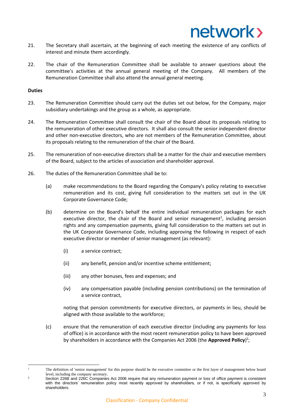

- 21. The Secretary shall ascertain, at the beginning of each meeting the existence of any conflicts of interest and minute them accordingly.
- 22. The chair of the Remuneration Committee shall be available to answer questions about the committee's activities at the annual general meeting of the Company. All members of the Remuneration Committee shall also attend the annual general meeting.

#### **Duties**

- 23. The Remuneration Committee should carry out the duties set out below, for the Company, major subsidiary undertakings and the group as a whole, as appropriate.
- 24. The Remuneration Committee shall consult the chair of the Board about its proposals relating to the remuneration of other executive directors. It shall also consult the senior independent director and other non-executive directors, who are not members of the Remuneration Committee, about its proposals relating to the remuneration of the chair of the Board.
- 25. The remuneration of non-executive directors shall be a matter for the chair and executive members of the Board, subject to the articles of association and shareholder approval.
- 26. The duties of the Remuneration Committee shall be to:
	- (a) make recommendations to the Board regarding the Company's policy relating to executive remuneration and its cost, giving full consideration to the matters set out in the UK Corporate Governance Code;
	- (b) determine on the Board's behalf the entire individual remuneration packages for each executive director, the chair of the Board and senior management<sup>1</sup>, including pension rights and any compensation payments, giving full consideration to the matters set out in the UK Corporate Governance Code, including approving the following in respect of each executive director or member of senior management (as relevant):
		- (i) a service contract;
		- (ii) any benefit, pension and/or incentive scheme entitlement;
		- (iii) any other bonuses, fees and expenses; and
		- (iv) any compensation payable (including pension contributions) on the termination of a service contract,

noting that pension commitments for executive directors, or payments in lieu, should be aligned with those available to the workforce;

(c) ensure that the remuneration of each executive director (including any payments for loss of office) is in accordance with the most recent remuneration policy to have been approved by shareholders in accordance with the Companies Act 2006 (the Approved Policy)<sup>2</sup>;

<sup>1</sup> The definition of 'senior management' for this purpose should be the executive committee or the first layer of management below board level, including the company secretary.

<sup>2</sup> Section 226B and 226C Companies Act 2006 require that any remuneration payment or loss of office payment is consistent with the directors' remuneration policy most recently approved by shareholders, or if not, is specifically approved by shareholders.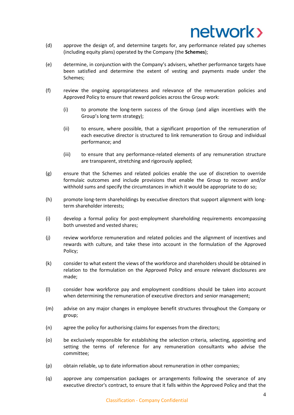- (d) approve the design of, and determine targets for, any performance related pay schemes (including equity plans) operated by the Company (the **Schemes**);
- (e) determine, in conjunction with the Company's advisers, whether performance targets have been satisfied and determine the extent of vesting and payments made under the Schemes;
- (f) review the ongoing appropriateness and relevance of the remuneration policies and Approved Policy to ensure that reward policies across the Group work:
	- (i) to promote the long-term success of the Group (and align incentives with the Group's long term strategy);
	- (ii) to ensure, where possible, that a significant proportion of the remuneration of each executive director is structured to link remuneration to Group and individual performance; and
	- (iii) to ensure that any performance-related elements of any remuneration structure are transparent, stretching and rigorously applied;
- (g) ensure that the Schemes and related policies enable the use of discretion to override formulaic outcomes and include provisions that enable the Group to recover and/or withhold sums and specify the circumstances in which it would be appropriate to do so;
- (h) promote long-term shareholdings by executive directors that support alignment with longterm shareholder interests;
- (i) develop a formal policy for post-employment shareholding requirements encompassing both unvested and vested shares;
- (j) review workforce remuneration and related policies and the alignment of incentives and rewards with culture, and take these into account in the formulation of the Approved Policy;
- (k) consider to what extent the views of the workforce and shareholders should be obtained in relation to the formulation on the Approved Policy and ensure relevant disclosures are made;
- (l) consider how workforce pay and employment conditions should be taken into account when determining the remuneration of executive directors and senior management;
- (m) advise on any major changes in employee benefit structures throughout the Company or group;
- (n) agree the policy for authorising claims for expenses from the directors;
- (o) be exclusively responsible for establishing the selection criteria, selecting, appointing and setting the terms of reference for any remuneration consultants who advise the committee;
- (p) obtain reliable, up to date information about remuneration in other companies;
- (q) approve any compensation packages or arrangements following the severance of any executive director's contract, to ensure that it falls within the Approved Policy and that the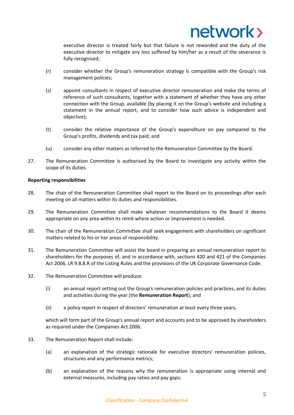executive director is treated fairly but that failure is not rewarded and the duty of the executive director to mitigate any loss suffered by him/her as a result of the severance is fully recognised;

- (r) consider whether the Group's remuneration strategy is compatible with the Group's risk management policies;
- (s) appoint consultants in respect of executive director remuneration and make the terms of reference of such consultants, together with a statement of whether they have any other connection with the Group, available (by placing it on the Group's website and including a statement in the annual report, and to consider how such advice is independent and objective);
- (t) consider the relative importance of the Group's expenditure on pay compared to the Group's profits, dividends and tax paid; and
- (u) consider any other matters as referred to the Remuneration Committee by the Board.
- 27. The Remuneration Committee is authorised by the Board to investigate any activity within the scope of its duties.

### **Reporting responsibilities**

- 28. The chair of the Remuneration Committee shall report to the Board on its proceedings after each meeting on all matters within its duties and responsibilities.
- 29. The Remuneration Committee shall make whatever recommendations to the Board it deems appropriate on any area within its remit where action or improvement is needed.
- 30. The chair of the Remuneration Committee shall seek engagement with shareholders on significant matters related to his or her areas of responsibility.
- 31. The Remuneration Committee will assist the board in preparing an annual remuneration report to shareholders for the purposes of, and in accordance with, sections 420 and 421 of the Companies Act 2006, LR 9.8.8.R of the Listing Rules and the provisions of the UK Corporate Governance Code.
- 32. The Remuneration Committee will produce:
	- (i) an annual report setting out the Group's remuneration policies and practices, and its duties and activities during the year (the **Remuneration Report**); and
	- (ii) a policy report in respect of directors' remuneration at least every three years,

which will form part of the Group's annual report and accounts and to be approved by shareholders as required under the Companies Act 2006.

- 33. The Remuneration Report shall include:
	- (a) an explanation of the strategic rationale for executive directors' remuneration policies, structures and any performance metrics;
	- (b) an explanation of the reasons why the remuneration is appropriate using internal and external measures, including pay ratios and pay gaps;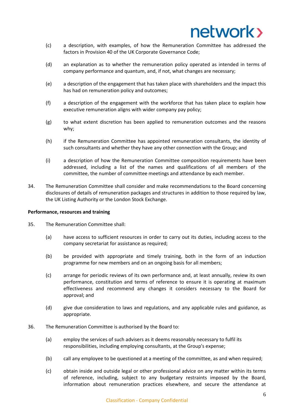- (c) a description, with examples, of how the Remuneration Committee has addressed the factors in Provision 40 of the UK Corporate Governance Code;
- (d) an explanation as to whether the remuneration policy operated as intended in terms of company performance and quantum, and, if not, what changes are necessary;
- (e) a description of the engagement that has taken place with shareholders and the impact this has had on remuneration policy and outcomes;
- (f) a description of the engagement with the workforce that has taken place to explain how executive remuneration aligns with wider company pay policy;
- (g) to what extent discretion has been applied to remuneration outcomes and the reasons why;
- (h) if the Remuneration Committee has appointed remuneration consultants, the identity of such consultants and whether they have any other connection with the Group; and
- (i) a description of how the Remuneration Committee composition requirements have been addressed, including a list of the names and qualifications of all members of the committee, the number of committee meetings and attendance by each member.
- 34. The Remuneration Committee shall consider and make recommendations to the Board concerning disclosures of details of remuneration packages and structures in addition to those required by law, the UK Listing Authority or the London Stock Exchange.

### **Performance, resources and training**

- 35. The Remuneration Committee shall:
	- (a) have access to sufficient resources in order to carry out its duties, including access to the company secretariat for assistance as required;
	- (b) be provided with appropriate and timely training, both in the form of an induction programme for new members and on an ongoing basis for all members;
	- (c) arrange for periodic reviews of its own performance and, at least annually, review its own performance, constitution and terms of reference to ensure it is operating at maximum effectiveness and recommend any changes it considers necessary to the Board for approval; and
	- (d) give due consideration to laws and regulations, and any applicable rules and guidance, as appropriate.
- 36. The Remuneration Committee is authorised by the Board to:
	- (a) employ the services of such advisers as it deems reasonably necessary to fulfil its responsibilities, including employing consultants, at the Group's expense;
	- (b) call any employee to be questioned at a meeting of the committee, as and when required;
	- (c) obtain inside and outside legal or other professional advice on any matter within its terms of reference, including, subject to any budgetary restraints imposed by the Board, information about remuneration practices elsewhere, and secure the attendance at